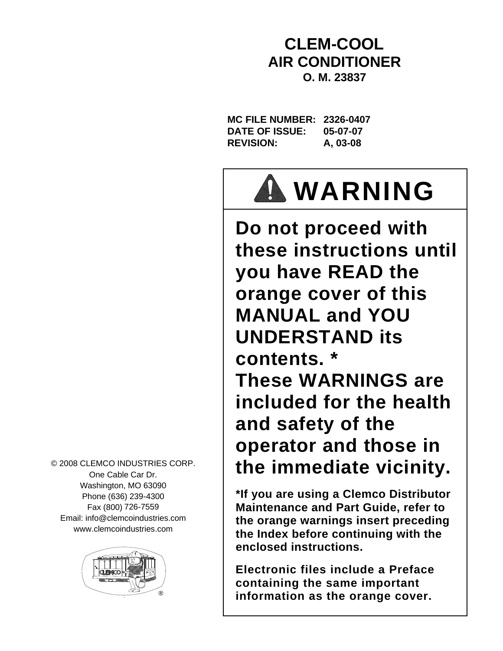# **CLEM-COOL AIR CONDITIONER O. M. 23837**

**MC FILE NUMBER: 2326-0407 DATE OF ISSUE: 05-07-07 REVISION: A, 03-08**



**Do not proceed with these instructions until you have READ the orange cover of this MANUAL and YOU UNDERSTAND its contents. \* These WARNINGS are included for the health and safety of the operator and those in the immediate vicinity.**

**\*If you are using a Clemco Distributor Maintenance and Part Guide, refer to the orange warnings insert preceding the Index before continuing with the enclosed instructions.** 

**Electronic files include a Preface containing the same important information as the orange cover.**

© 2008 CLEMCO INDUSTRIES CORP. One Cable Car Dr. Washington, MO 63090 Phone (636) 239-4300 Fax (800) 726-7559 Email: info@clemcoindustries.com www.clemcoindustries.com

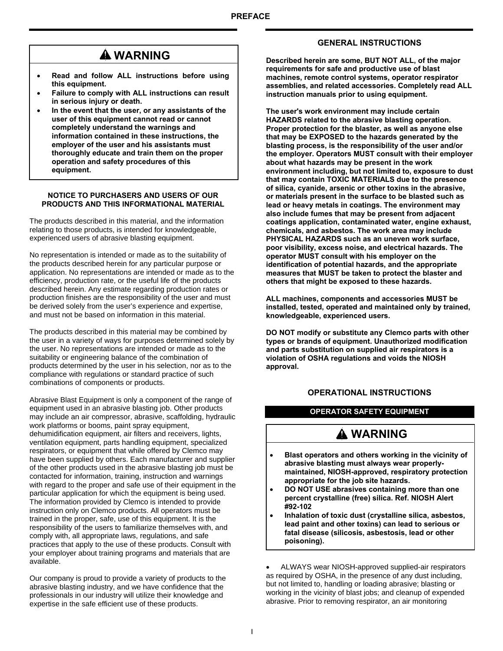# **WARNING**

- **Read and follow ALL instructions before using this equipment.**
- **Failure to comply with ALL instructions can result in serious injury or death.**
- **In the event that the user, or any assistants of the user of this equipment cannot read or cannot completely understand the warnings and information contained in these instructions, the employer of the user and his assistants must thoroughly educate and train them on the proper operation and safety procedures of this equipment.**

#### **NOTICE TO PURCHASERS AND USERS OF OUR PRODUCTS AND THIS INFORMATIONAL MATERIAL**

The products described in this material, and the information relating to those products, is intended for knowledgeable, experienced users of abrasive blasting equipment.

No representation is intended or made as to the suitability of the products described herein for any particular purpose or application. No representations are intended or made as to the efficiency, production rate, or the useful life of the products described herein. Any estimate regarding production rates or production finishes are the responsibility of the user and must be derived solely from the user's experience and expertise, and must not be based on information in this material.

The products described in this material may be combined by the user in a variety of ways for purposes determined solely by the user. No representations are intended or made as to the suitability or engineering balance of the combination of products determined by the user in his selection, nor as to the compliance with regulations or standard practice of such combinations of components or products.

Abrasive Blast Equipment is only a component of the range of equipment used in an abrasive blasting job. Other products may include an air compressor, abrasive, scaffolding, hydraulic work platforms or booms, paint spray equipment, dehumidification equipment, air filters and receivers, lights, ventilation equipment, parts handling equipment, specialized respirators, or equipment that while offered by Clemco may have been supplied by others. Each manufacturer and supplier of the other products used in the abrasive blasting job must be contacted for information, training, instruction and warnings with regard to the proper and safe use of their equipment in the particular application for which the equipment is being used. The information provided by Clemco is intended to provide instruction only on Clemco products. All operators must be trained in the proper, safe, use of this equipment. It is the responsibility of the users to familiarize themselves with, and comply with, all appropriate laws, regulations, and safe practices that apply to the use of these products. Consult with your employer about training programs and materials that are available.

Our company is proud to provide a variety of products to the abrasive blasting industry, and we have confidence that the professionals in our industry will utilize their knowledge and expertise in the safe efficient use of these products.

### **GENERAL INSTRUCTIONS**

**Described herein are some, BUT NOT ALL, of the major requirements for safe and productive use of blast machines, remote control systems, operator respirator assemblies, and related accessories. Completely read ALL instruction manuals prior to using equipment.** 

**The user's work environment may include certain HAZARDS related to the abrasive blasting operation. Proper protection for the blaster, as well as anyone else that may be EXPOSED to the hazards generated by the blasting process, is the responsibility of the user and/or the employer. Operators MUST consult with their employer about what hazards may be present in the work environment including, but not limited to, exposure to dust that may contain TOXIC MATERIALS due to the presence of silica, cyanide, arsenic or other toxins in the abrasive, or materials present in the surface to be blasted such as lead or heavy metals in coatings. The environment may also include fumes that may be present from adjacent coatings application, contaminated water, engine exhaust, chemicals, and asbestos. The work area may include PHYSICAL HAZARDS such as an uneven work surface, poor visibility, excess noise, and electrical hazards. The operator MUST consult with his employer on the identification of potential hazards, and the appropriate measures that MUST be taken to protect the blaster and others that might be exposed to these hazards.** 

**ALL machines, components and accessories MUST be installed, tested, operated and maintained only by trained, knowledgeable, experienced users.** 

**DO NOT modify or substitute any Clemco parts with other types or brands of equipment. Unauthorized modification and parts substitution on supplied air respirators is a violation of OSHA regulations and voids the NIOSH approval.**

### **OPERATIONAL INSTRUCTIONS**

### **OPERATOR SAFETY EQUIPMENT**

# **WARNING**

- **Blast operators and others working in the vicinity of abrasive blasting must always wear properlymaintained, NIOSH-approved, respiratory protection appropriate for the job site hazards.**
- **DO NOT USE abrasives containing more than one percent crystalline (free) silica. Ref. NIOSH Alert #92-102**
- **Inhalation of toxic dust (crystalline silica, asbestos, lead paint and other toxins) can lead to serious or fatal disease (silicosis, asbestosis, lead or other poisoning).**

• ALWAYS wear NIOSH-approved supplied-air respirators as required by OSHA, in the presence of any dust including, but not limited to, handling or loading abrasive; blasting or working in the vicinity of blast jobs; and cleanup of expended abrasive. Prior to removing respirator, an air monitoring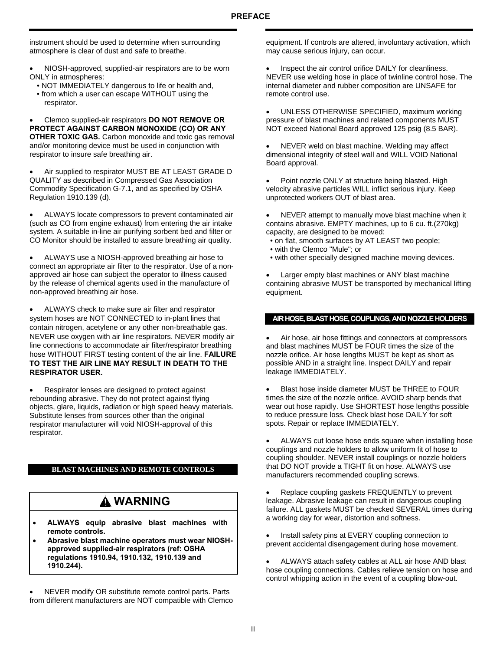instrument should be used to determine when surrounding atmosphere is clear of dust and safe to breathe.

- NIOSH-approved, supplied-air respirators are to be worn ONLY in atmospheres:
	- NOT IMMEDIATELY dangerous to life or health and,
	- from which a user can escape WITHOUT using the respirator.

• Clemco supplied-air respirators **DO NOT REMOVE OR PROTECT AGAINST CARBON MONOXIDE (CO) OR ANY OTHER TOXIC GAS.** Carbon monoxide and toxic gas removal and/or monitoring device must be used in conjunction with respirator to insure safe breathing air.

Air supplied to respirator MUST BE AT LEAST GRADE D QUALITY as described in Compressed Gas Association Commodity Specification G-7.1, and as specified by OSHA Regulation 1910.139 (d).

• ALWAYS locate compressors to prevent contaminated air (such as CO from engine exhaust) from entering the air intake system. A suitable in-line air purifying sorbent bed and filter or CO Monitor should be installed to assure breathing air quality.

• ALWAYS use a NIOSH-approved breathing air hose to connect an appropriate air filter to the respirator. Use of a nonapproved air hose can subject the operator to illness caused by the release of chemical agents used in the manufacture of non-approved breathing air hose.

• ALWAYS check to make sure air filter and respirator system hoses are NOT CONNECTED to in-plant lines that contain nitrogen, acetylene or any other non-breathable gas. NEVER use oxygen with air line respirators. NEVER modify air line connections to accommodate air filter/respirator breathing hose WITHOUT FIRST testing content of the air line. **FAILURE TO TEST THE AIR LINE MAY RESULT IN DEATH TO THE RESPIRATOR USER.** 

• Respirator lenses are designed to protect against rebounding abrasive. They do not protect against flying objects, glare, liquids, radiation or high speed heavy materials. Substitute lenses from sources other than the original respirator manufacturer will void NIOSH-approval of this respirator.

### **BLAST MACHINES AND REMOTE CONTROLS**

# **WARNING**

- **ALWAYS equip abrasive blast machines with remote controls.**
- **Abrasive blast machine operators must wear NIOSHapproved supplied-air respirators (ref: OSHA regulations 1910.94, 1910.132, 1910.139 and 1910.244).**

• NEVER modify OR substitute remote control parts. Parts from different manufacturers are NOT compatible with Clemco equipment. If controls are altered, involuntary activation, which may cause serious injury, can occur.

Inspect the air control orifice DAILY for cleanliness. NEVER use welding hose in place of twinline control hose. The internal diameter and rubber composition are UNSAFE for remote control use.

• UNLESS OTHERWISE SPECIFIED, maximum working pressure of blast machines and related components MUST NOT exceed National Board approved 125 psig (8.5 BAR).

NEVER weld on blast machine. Welding may affect dimensional integrity of steel wall and WILL VOID National Board approval.

Point nozzle ONLY at structure being blasted. High velocity abrasive particles WILL inflict serious injury. Keep unprotected workers OUT of blast area.

• NEVER attempt to manually move blast machine when it contains abrasive. EMPTY machines, up to 6 cu. ft.(270kg) capacity, are designed to be moved:

- on flat, smooth surfaces by AT LEAST two people;
- with the Clemco "Mule"; or
- with other specially designed machine moving devices.

Larger empty blast machines or ANY blast machine containing abrasive MUST be transported by mechanical lifting equipment.

#### **AIR HOSE, BLAST HOSE, COUPLINGS, AND NOZZLE HOLDERS**

• Air hose, air hose fittings and connectors at compressors and blast machines MUST be FOUR times the size of the nozzle orifice. Air hose lengths MUST be kept as short as possible AND in a straight line. Inspect DAILY and repair leakage IMMEDIATELY.

Blast hose inside diameter MUST be THREE to FOUR times the size of the nozzle orifice. AVOID sharp bends that wear out hose rapidly. Use SHORTEST hose lengths possible to reduce pressure loss. Check blast hose DAILY for soft spots. Repair or replace IMMEDIATELY.

ALWAYS cut loose hose ends square when installing hose couplings and nozzle holders to allow uniform fit of hose to coupling shoulder. NEVER install couplings or nozzle holders that DO NOT provide a TIGHT fit on hose. ALWAYS use manufacturers recommended coupling screws.

Replace coupling gaskets FREQUENTLY to prevent leakage. Abrasive leakage can result in dangerous coupling failure. ALL gaskets MUST be checked SEVERAL times during a working day for wear, distortion and softness.

Install safety pins at EVERY coupling connection to prevent accidental disengagement during hose movement.

• ALWAYS attach safety cables at ALL air hose AND blast hose coupling connections. Cables relieve tension on hose and control whipping action in the event of a coupling blow-out.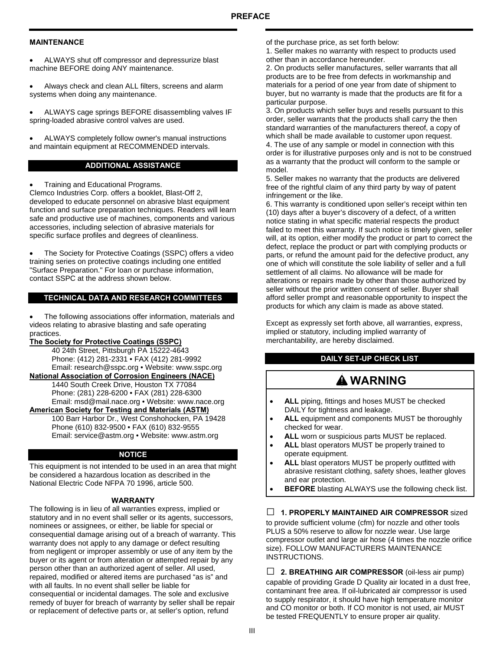#### **MAINTENANCE**

• ALWAYS shut off compressor and depressurize blast machine BEFORE doing ANY maintenance.

• Always check and clean ALL filters, screens and alarm systems when doing any maintenance.

• ALWAYS cage springs BEFORE disassembling valves IF spring-loaded abrasive control valves are used.

• ALWAYS completely follow owner's manual instructions and maintain equipment at RECOMMENDED intervals.

#### **ADDITIONAL ASSISTANCE**

• Training and Educational Programs.

Clemco Industries Corp. offers a booklet, Blast-Off 2, developed to educate personnel on abrasive blast equipment function and surface preparation techniques. Readers will learn safe and productive use of machines, components and various accessories, including selection of abrasive materials for specific surface profiles and degrees of cleanliness.

• The Society for Protective Coatings (SSPC) offers a video training series on protective coatings including one entitled "Surface Preparation." For loan or purchase information, contact SSPC at the address shown below.

#### **TECHNICAL DATA AND RESEARCH COMMITTEES**

• The following associations offer information, materials and videos relating to abrasive blasting and safe operating practices.

#### **The Society for Protective Coatings (SSPC)**

 40 24th Street, Pittsburgh PA 15222-4643 Phone: (412) 281-2331 • FAX (412) 281-9992 Email: research@sspc.org • Website: www.sspc.org

**National Association of Corrosion Engineers (NACE)**

 1440 South Creek Drive, Houston TX 77084 Phone: (281) 228-6200 • FAX (281) 228-6300 Email: msd@mail.nace.org • Website: www.nace.org **American Society for Testing and Materials (ASTM)**

100 Barr Harbor Dr., West Conshohocken, PA 19428 Phone (610) 832-9500 • FAX (610) 832-9555

Email: service@astm.org • Website: www.astm.org

#### **NOTICE**

This equipment is not intended to be used in an area that might be considered a hazardous location as described in the National Electric Code NFPA 70 1996, article 500.

#### **WARRANTY**

The following is in lieu of all warranties express, implied or statutory and in no event shall seller or its agents, successors, nominees or assignees, or either, be liable for special or consequential damage arising out of a breach of warranty. This warranty does not apply to any damage or defect resulting from negligent or improper assembly or use of any item by the buyer or its agent or from alteration or attempted repair by any person other than an authorized agent of seller. All used, repaired, modified or altered items are purchased "as is" and with all faults. In no event shall seller be liable for consequential or incidental damages. The sole and exclusive remedy of buyer for breach of warranty by seller shall be repair or replacement of defective parts or, at seller's option, refund

of the purchase price, as set forth below:

1. Seller makes no warranty with respect to products used other than in accordance hereunder.

2. On products seller manufactures, seller warrants that all products are to be free from defects in workmanship and materials for a period of one year from date of shipment to buyer, but no warranty is made that the products are fit for a particular purpose.

3. On products which seller buys and resells pursuant to this order, seller warrants that the products shall carry the then standard warranties of the manufacturers thereof, a copy of which shall be made available to customer upon request. 4. The use of any sample or model in connection with this order is for illustrative purposes only and is not to be construed as a warranty that the product will conform to the sample or model.

5. Seller makes no warranty that the products are delivered free of the rightful claim of any third party by way of patent infringement or the like.

6. This warranty is conditioned upon seller's receipt within ten (10) days after a buyer's discovery of a defect, of a written notice stating in what specific material respects the product failed to meet this warranty. If such notice is timely given, seller will, at its option, either modify the product or part to correct the defect, replace the product or part with complying products or parts, or refund the amount paid for the defective product, any one of which will constitute the sole liability of seller and a full settlement of all claims. No allowance will be made for alterations or repairs made by other than those authorized by seller without the prior written consent of seller. Buyer shall afford seller prompt and reasonable opportunity to inspect the products for which any claim is made as above stated.

Except as expressly set forth above, all warranties, express, implied or statutory, including implied warranty of merchantability, are hereby disclaimed.

### **DAILY SET-UP CHECK LIST**

# **WARNING**

- ALL piping, fittings and hoses MUST be checked DAILY for tightness and leakage.
- ALL equipment and components MUST be thoroughly checked for wear.
- ALL worn or suspicious parts MUST be replaced.
- ALL blast operators MUST be properly trained to operate equipment.
- ALL blast operators MUST be properly outfitted with abrasive resistant clothing, safety shoes, leather gloves and ear protection.
- **BEFORE** blasting ALWAYS use the following check list.

### **□ 1. PROPERLY MAINTAINED AIR COMPRESSOR** sized

to provide sufficient volume (cfm) for nozzle and other tools PLUS a 50% reserve to allow for nozzle wear. Use large compressor outlet and large air hose (4 times the nozzle orifice size). FOLLOW MANUFACTURERS MAINTENANCE INSTRUCTIONS.

**□ 2. BREATHING AIR COMPRESSOR** (oil-less air pump) capable of providing Grade D Quality air located in a dust free, contaminant free area. If oil-lubricated air compressor is used to supply respirator, it should have high temperature monitor and CO monitor or both. If CO monitor is not used, air MUST be tested FREQUENTLY to ensure proper air quality.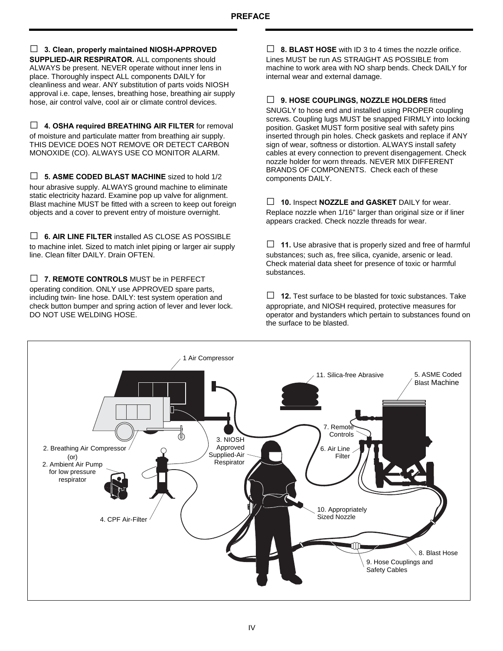**□ 3. Clean, properly maintained NIOSH-APPROVED SUPPLIED-AIR RESPIRATOR.** ALL components should ALWAYS be present. NEVER operate without inner lens in place. Thoroughly inspect ALL components DAILY for cleanliness and wear. ANY substitution of parts voids NIOSH approval i.e. cape, lenses, breathing hose, breathing air supply hose, air control valve, cool air or climate control devices.

**□ 4. OSHA required BREATHING AIR FILTER** for removal of moisture and particulate matter from breathing air supply. THIS DEVICE DOES NOT REMOVE OR DETECT CARBON MONOXIDE (CO). ALWAYS USE CO MONITOR ALARM.

**□ 5. ASME CODED BLAST MACHINE** sized to hold 1/2 hour abrasive supply. ALWAYS ground machine to eliminate static electricity hazard. Examine pop up valve for alignment. Blast machine MUST be fitted with a screen to keep out foreign objects and a cover to prevent entry of moisture overnight.

**□ 6. AIR LINE FILTER** installed AS CLOSE AS POSSIBLE to machine inlet. Sized to match inlet piping or larger air supply line. Clean filter DAILY. Drain OFTEN.

**□ 7. REMOTE CONTROLS** MUST be in PERFECT operating condition. ONLY use APPROVED spare parts, including twin- line hose. DAILY: test system operation and check button bumper and spring action of lever and lever lock. DO NOT USE WELDING HOSE.

**□ 8. BLAST HOSE** with ID 3 to 4 times the nozzle orifice. Lines MUST be run AS STRAIGHT AS POSSIBLE from machine to work area with NO sharp bends. Check DAILY for internal wear and external damage.

**□ 9. HOSE COUPLINGS, NOZZLE HOLDERS** fitted SNUGLY to hose end and installed using PROPER coupling screws. Coupling lugs MUST be snapped FIRMLY into locking position. Gasket MUST form positive seal with safety pins inserted through pin holes. Check gaskets and replace if ANY sign of wear, softness or distortion. ALWAYS install safety cables at every connection to prevent disengagement. Check nozzle holder for worn threads. NEVER MIX DIFFERENT BRANDS OF COMPONENTS. Check each of these components DAILY.

**□ 10.** Inspect **NOZZLE and GASKET** DAILY for wear. Replace nozzle when 1/16" larger than original size or if liner appears cracked. Check nozzle threads for wear.

**□ 11.** Use abrasive that is properly sized and free of harmful substances; such as, free silica, cyanide, arsenic or lead. Check material data sheet for presence of toxic or harmful substances.

**□ 12.** Test surface to be blasted for toxic substances. Take appropriate, and NIOSH required, protective measures for operator and bystanders which pertain to substances found on the surface to be blasted.

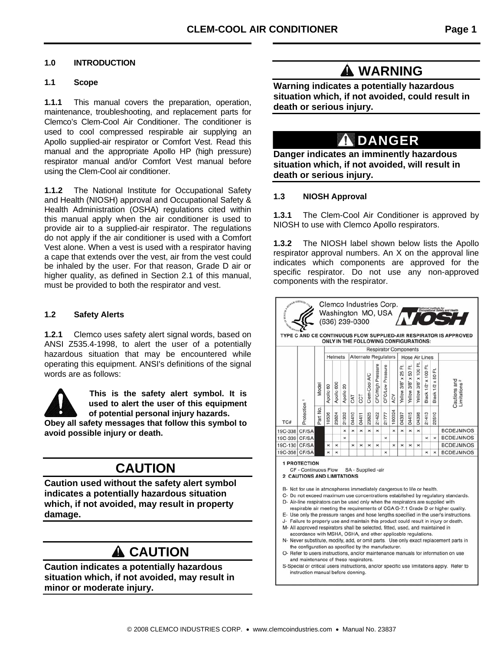### **1.0 INTRODUCTION**

#### **1.1 Scope**

**1.1.1** This manual covers the preparation, operation, maintenance, troubleshooting, and replacement parts for Clemco's Clem-Cool Air Conditioner. The conditioner is used to cool compressed respirable air supplying an Apollo supplied-air respirator or Comfort Vest. Read this manual and the appropriate Apollo HP (high pressure) respirator manual and/or Comfort Vest manual before using the Clem-Cool air conditioner.

**1.1.2** The National Institute for Occupational Safety and Health (NIOSH) approval and Occupational Safety & Health Administration (OSHA) regulations cited within this manual apply when the air conditioner is used to provide air to a supplied-air respirator. The regulations do not apply if the air conditioner is used with a Comfort Vest alone. When a vest is used with a respirator having a cape that extends over the vest, air from the vest could be inhaled by the user. For that reason, Grade D air or higher quality, as defined in Section 2.1 of this manual, must be provided to both the respirator and vest.

### **1.2 Safety Alerts**

**1.2.1** Clemco uses safety alert signal words, based on ANSI Z535.4-1998, to alert the user of a potentially hazardous situation that may be encountered while operating this equipment. ANSI's definitions of the signal words are as follows:



**This is the safety alert symbol. It is used to alert the user of this equipment of potential personal injury hazards.** 

**Obey all safety messages that follow this symbol to avoid possible injury or death.** 

# **CAUTION**

**Caution used without the safety alert symbol indicates a potentially hazardous situation which, if not avoided, may result in property damage.** 

# **A** CAUTION

**Caution indicates a potentially hazardous situation which, if not avoided, may result in minor or moderate injury.** 

# **A** WARNING

**Warning indicates a potentially hazardous situation which, if not avoided, could result in death or serious injury.** 

# **A DANGER**

**Danger indicates an imminently hazardous situation which, if not avoided, will result in death or serious injury.** 

### **1.3 NIOSH Approval**

**1.3.1** The Clem-Cool Air Conditioner is approved by NIOSH to use with Clemco Apollo respirators.

**1.3.2** The NIOSH label shown below lists the Apollo respirator approval numbers. An X on the approval line indicates which components are approved for the specific respirator. Do not use any non-approved components with the respirator.

| Cautions and<br>imitations                                                                                                                                                                                                                                                                                                                       |
|--------------------------------------------------------------------------------------------------------------------------------------------------------------------------------------------------------------------------------------------------------------------------------------------------------------------------------------------------|
|                                                                                                                                                                                                                                                                                                                                                  |
|                                                                                                                                                                                                                                                                                                                                                  |
|                                                                                                                                                                                                                                                                                                                                                  |
| <b>BCDEJMNOS</b>                                                                                                                                                                                                                                                                                                                                 |
| <b>BCDEJMNOS</b>                                                                                                                                                                                                                                                                                                                                 |
| <b>BCDEJMNOS</b>                                                                                                                                                                                                                                                                                                                                 |
| <b>BCDEJMNOS</b>                                                                                                                                                                                                                                                                                                                                 |
| C- Do not exceed maximum use concentrations established by regulatory standards.<br>D- Air-line respirators can be used only when the respirators are supplied with<br>respirable air meeting the requirements of CGA G-7.1 Grade D or higher quality.<br>E- Use only the pressure ranges and hose lengths specified in the user's instructions. |
| J- Failure to properly use and maintain this product could result in injury or death.                                                                                                                                                                                                                                                            |
|                                                                                                                                                                                                                                                                                                                                                  |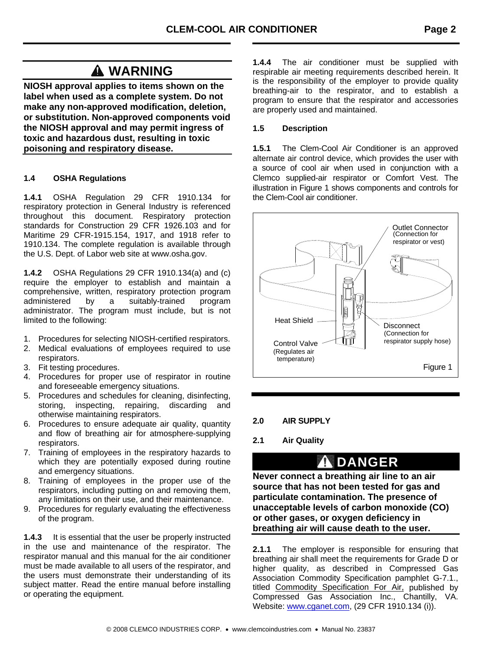# **WARNING**

**NIOSH approval applies to items shown on the label when used as a complete system. Do not make any non-approved modification, deletion, or substitution. Non-approved components void the NIOSH approval and may permit ingress of toxic and hazardous dust, resulting in toxic poisoning and respiratory disease.** 

## **1.4 OSHA Regulations**

**1.4.1** OSHA Regulation 29 CFR 1910.134 for respiratory protection in General Industry is referenced throughout this document. Respiratory protection standards for Construction 29 CFR 1926.103 and for Maritime 29 CFR-1915.154, 1917, and 1918 refer to 1910.134. The complete regulation is available through the U.S. Dept. of Labor web site at www.osha.gov.

**1.4.2** OSHA Regulations 29 CFR 1910.134(a) and (c) require the employer to establish and maintain a comprehensive, written, respiratory protection program administered by a suitably-trained program administrator. The program must include, but is not limited to the following:

- 1. Procedures for selecting NIOSH-certified respirators.
- 2. Medical evaluations of employees required to use respirators.
- 3. Fit testing procedures.
- 4. Procedures for proper use of respirator in routine and foreseeable emergency situations.
- 5. Procedures and schedules for cleaning, disinfecting, storing, inspecting, repairing, discarding and otherwise maintaining respirators.
- 6. Procedures to ensure adequate air quality, quantity and flow of breathing air for atmosphere-supplying respirators.
- 7. Training of employees in the respiratory hazards to which they are potentially exposed during routine and emergency situations.
- 8. Training of employees in the proper use of the respirators, including putting on and removing them, any limitations on their use, and their maintenance.
- 9. Procedures for regularly evaluating the effectiveness of the program.

**1.4.3** It is essential that the user be properly instructed in the use and maintenance of the respirator. The respirator manual and this manual for the air conditioner must be made available to all users of the respirator, and the users must demonstrate their understanding of its subject matter. Read the entire manual before installing or operating the equipment.

**1.4.4** The air conditioner must be supplied with respirable air meeting requirements described herein. It is the responsibility of the employer to provide quality breathing-air to the respirator, and to establish a program to ensure that the respirator and accessories are properly used and maintained.

### **1.5 Description**

**1.5.1** The Clem-Cool Air Conditioner is an approved alternate air control device, which provides the user with a source of cool air when used in conjunction with a Clemco supplied-air respirator or Comfort Vest. The illustration in Figure 1 shows components and controls for the Clem-Cool air conditioner.



### **2.0 AIR SUPPLY**

## **2.1 Air Quality**

# **DANGER**

**Never connect a breathing air line to an air source that has not been tested for gas and particulate contamination. The presence of unacceptable levels of carbon monoxide (CO) or other gases, or oxygen deficiency in breathing air will cause death to the user.** 

**2.1.1** The employer is responsible for ensuring that breathing air shall meet the requirements for Grade D or higher quality, as described in Compressed Gas Association Commodity Specification pamphlet G-7.1., titled Commodity Specification For Air, published by Compressed Gas Association Inc., Chantilly, VA. Website: www.cganet.com, (29 CFR 1910.134 (i)).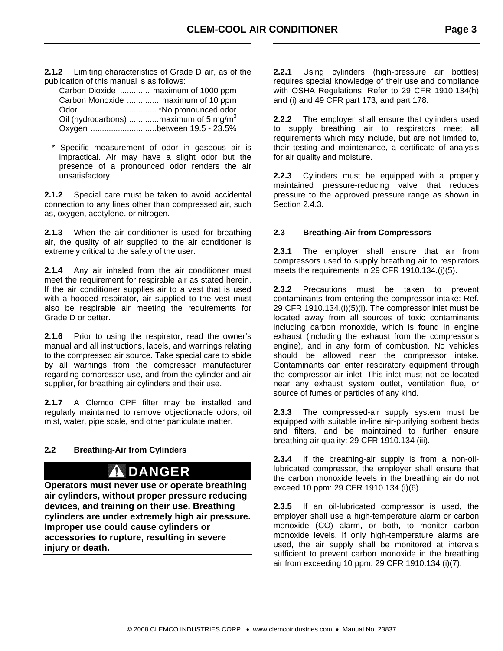**2.1.2** Limiting characteristics of Grade D air, as of the publication of this manual is as follows:

| Carbon Dioxide  maximum of 1000 ppm                |
|----------------------------------------------------|
| Carbon Monoxide  maximum of 10 ppm                 |
|                                                    |
| Oil (hydrocarbons)  maximum of 5 mg/m <sup>3</sup> |
| Oxygen between 19.5 - 23.5%                        |

\* Specific measurement of odor in gaseous air is impractical. Air may have a slight odor but the presence of a pronounced odor renders the air unsatisfactory.

**2.1.2** Special care must be taken to avoid accidental connection to any lines other than compressed air, such as, oxygen, acetylene, or nitrogen.

**2.1.3** When the air conditioner is used for breathing air, the quality of air supplied to the air conditioner is extremely critical to the safety of the user.

**2.1.4** Any air inhaled from the air conditioner must meet the requirement for respirable air as stated herein. If the air conditioner supplies air to a vest that is used with a hooded respirator, air supplied to the vest must also be respirable air meeting the requirements for Grade D or better.

**2.1.6** Prior to using the respirator, read the owner's manual and all instructions, labels, and warnings relating to the compressed air source. Take special care to abide by all warnings from the compressor manufacturer regarding compressor use, and from the cylinder and air supplier, for breathing air cylinders and their use.

**2.1.7** A Clemco CPF filter may be installed and regularly maintained to remove objectionable odors, oil mist, water, pipe scale, and other particulate matter.

## **2.2 Breathing-Air from Cylinders**

# **DANGER**

**Operators must never use or operate breathing air cylinders, without proper pressure reducing devices, and training on their use. Breathing cylinders are under extremely high air pressure. Improper use could cause cylinders or accessories to rupture, resulting in severe injury or death.** 

**2.2.1** Using cylinders (high-pressure air bottles) requires special knowledge of their use and compliance with OSHA Regulations. Refer to 29 CFR 1910.134(h) and (i) and 49 CFR part 173, and part 178.

**2.2.2** The employer shall ensure that cylinders used to supply breathing air to respirators meet all requirements which may include, but are not limited to, their testing and maintenance, a certificate of analysis for air quality and moisture.

**2.2.3** Cylinders must be equipped with a properly maintained pressure-reducing valve that reduces pressure to the approved pressure range as shown in Section 2.4.3.

### **2.3 Breathing-Air from Compressors**

**2.3.1** The employer shall ensure that air from compressors used to supply breathing air to respirators meets the requirements in 29 CFR 1910.134.(i)(5).

**2.3.2** Precautions must be taken to prevent contaminants from entering the compressor intake: Ref. 29 CFR 1910.134.(i)(5)(i). The compressor inlet must be located away from all sources of toxic contaminants including carbon monoxide, which is found in engine exhaust (including the exhaust from the compressor's engine), and in any form of combustion. No vehicles should be allowed near the compressor intake. Contaminants can enter respiratory equipment through the compressor air inlet. This inlet must not be located near any exhaust system outlet, ventilation flue, or source of fumes or particles of any kind.

**2.3.3** The compressed-air supply system must be equipped with suitable in-line air-purifying sorbent beds and filters, and be maintained to further ensure breathing air quality: 29 CFR 1910.134 (iii).

**2.3.4** If the breathing-air supply is from a non-oillubricated compressor, the employer shall ensure that the carbon monoxide levels in the breathing air do not exceed 10 ppm: 29 CFR 1910.134 (i)(6).

**2.3.5** If an oil-lubricated compressor is used, the employer shall use a high-temperature alarm or carbon monoxide (CO) alarm, or both, to monitor carbon monoxide levels. If only high-temperature alarms are used, the air supply shall be monitored at intervals sufficient to prevent carbon monoxide in the breathing air from exceeding 10 ppm: 29 CFR 1910.134 (i)(7).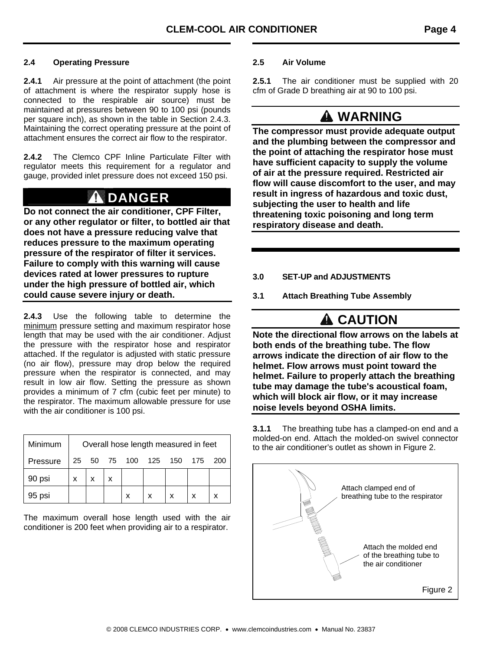### **2.4 Operating Pressure**

**2.4.1** Air pressure at the point of attachment (the point of attachment is where the respirator supply hose is connected to the respirable air source) must be maintained at pressures between 90 to 100 psi (pounds per square inch), as shown in the table in Section 2.4.3. Maintaining the correct operating pressure at the point of attachment ensures the correct air flow to the respirator.

**2.4.2** The Clemco CPF Inline Particulate Filter with regulator meets this requirement for a regulator and gauge, provided inlet pressure does not exceed 150 psi.

# **DANGER**

**Do not connect the air conditioner, CPF Filter, or any other regulator or filter, to bottled air that does not have a pressure reducing valve that reduces pressure to the maximum operating pressure of the respirator of filter it services. Failure to comply with this warning will cause devices rated at lower pressures to rupture under the high pressure of bottled air, which could cause severe injury or death.** 

**2.4.3** Use the following table to determine the minimum pressure setting and maximum respirator hose length that may be used with the air conditioner. Adjust the pressure with the respirator hose and respirator attached. If the regulator is adjusted with static pressure (no air flow), pressure may drop below the required pressure when the respirator is connected, and may result in low air flow. Setting the pressure as shown provides a minimum of 7 cfm (cubic feet per minute) to the respirator. The maximum allowable pressure for use with the air conditioner is 100 psi.

| Minimum  | Overall hose length measured in feet |  |  |           |     |     |     |     |
|----------|--------------------------------------|--|--|-----------|-----|-----|-----|-----|
| Pressure | 25                                   |  |  | 50 75 100 | 125 | 150 | 175 | 200 |
| 90 psi   | x                                    |  |  |           |     |     |     |     |
| 95 psi   |                                      |  |  |           |     |     |     |     |

The maximum overall hose length used with the air conditioner is 200 feet when providing air to a respirator.

### **2.5 Air Volume**

**2.5.1** The air conditioner must be supplied with 20 cfm of Grade D breathing air at 90 to 100 psi.

# **WARNING**

**The compressor must provide adequate output and the plumbing between the compressor and the point of attaching the respirator hose must have sufficient capacity to supply the volume of air at the pressure required. Restricted air flow will cause discomfort to the user, and may result in ingress of hazardous and toxic dust, subjecting the user to health and life threatening toxic poisoning and long term respiratory disease and death.** 

- **3.0 SET-UP and ADJUSTMENTS**
- **3.1 Attach Breathing Tube Assembly**

# **A** CAUTION

**Note the directional flow arrows on the labels at both ends of the breathing tube. The flow arrows indicate the direction of air flow to the helmet. Flow arrows must point toward the helmet. Failure to properly attach the breathing tube may damage the tube's acoustical foam, which will block air flow, or it may increase noise levels beyond OSHA limits.** 

**3.1.1** The breathing tube has a clamped-on end and a molded-on end. Attach the molded-on swivel connector to the air conditioner's outlet as shown in Figure 2.

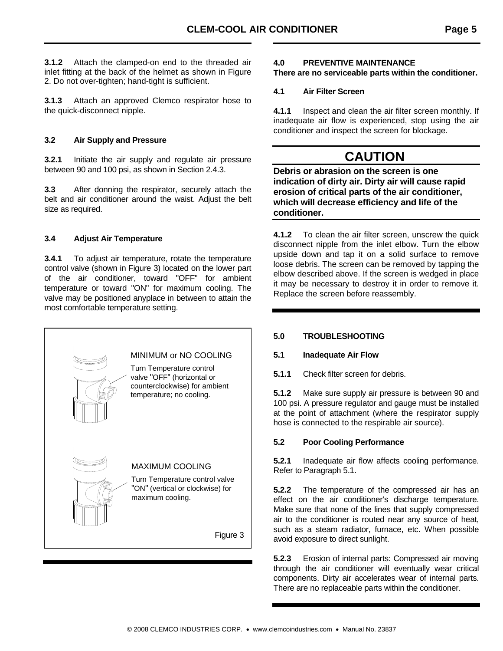**3.1.2** Attach the clamped-on end to the threaded air inlet fitting at the back of the helmet as shown in Figure 2. Do not over-tighten; hand-tight is sufficient.

**3.1.3** Attach an approved Clemco respirator hose to the quick-disconnect nipple.

### **3.2 Air Supply and Pressure**

**3.2.1** Initiate the air supply and regulate air pressure between 90 and 100 psi, as shown in Section 2.4.3.

**3.3** After donning the respirator, securely attach the belt and air conditioner around the waist. Adjust the belt size as required.

## **3.4 Adjust Air Temperature**

**3.4.1** To adjust air temperature, rotate the temperature control valve (shown in Figure 3) located on the lower part of the air conditioner, toward "OFF" for ambient temperature or toward "ON" for maximum cooling. The valve may be positioned anyplace in between to attain the most comfortable temperature setting.



### **4.0 PREVENTIVE MAINTENANCE**

**There are no serviceable parts within the conditioner.** 

## **4.1 Air Filter Screen**

**4.1.1** Inspect and clean the air filter screen monthly. If inadequate air flow is experienced, stop using the air conditioner and inspect the screen for blockage.

# **CAUTION**

**Debris or abrasion on the screen is one indication of dirty air. Dirty air will cause rapid erosion of critical parts of the air conditioner, which will decrease efficiency and life of the conditioner.** 

**4.1.2** To clean the air filter screen, unscrew the quick disconnect nipple from the inlet elbow. Turn the elbow upside down and tap it on a solid surface to remove loose debris. The screen can be removed by tapping the elbow described above. If the screen is wedged in place it may be necessary to destroy it in order to remove it. Replace the screen before reassembly.

## **5.0 TROUBLESHOOTING**

## **5.1 Inadequate Air Flow**

**5.1.1** Check filter screen for debris.

**5.1.2** Make sure supply air pressure is between 90 and 100 psi. A pressure regulator and gauge must be installed at the point of attachment (where the respirator supply hose is connected to the respirable air source).

## **5.2 Poor Cooling Performance**

**5.2.1** Inadequate air flow affects cooling performance. Refer to Paragraph 5.1.

**5.2.2** The temperature of the compressed air has an effect on the air conditioner's discharge temperature. Make sure that none of the lines that supply compressed air to the conditioner is routed near any source of heat, such as a steam radiator, furnace, etc. When possible avoid exposure to direct sunlight.

**5.2.3** Erosion of internal parts: Compressed air moving through the air conditioner will eventually wear critical components. Dirty air accelerates wear of internal parts. There are no replaceable parts within the conditioner.